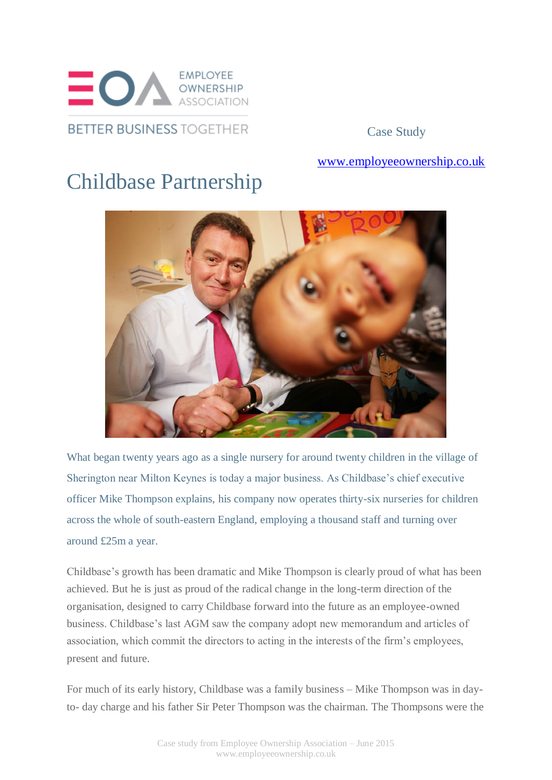

Case Study

## [www.employeeownership.co.uk](http://www.employeeownership.co.uk/)

## Childbase Partnership



What began twenty years ago as a single nursery for around twenty children in the village of Sherington near Milton Keynes is today a major business. As Childbase's chief executive officer Mike Thompson explains, his company now operates thirty-six nurseries for children across the whole of south-eastern England, employing a thousand staff and turning over around £25m a year.

Childbase's growth has been dramatic and Mike Thompson is clearly proud of what has been achieved. But he is just as proud of the radical change in the long-term direction of the organisation, designed to carry Childbase forward into the future as an employee-owned business. Childbase's last AGM saw the company adopt new memorandum and articles of association, which commit the directors to acting in the interests of the firm's employees, present and future.

For much of its early history, Childbase was a family business – Mike Thompson was in dayto- day charge and his father Sir Peter Thompson was the chairman. The Thompsons were the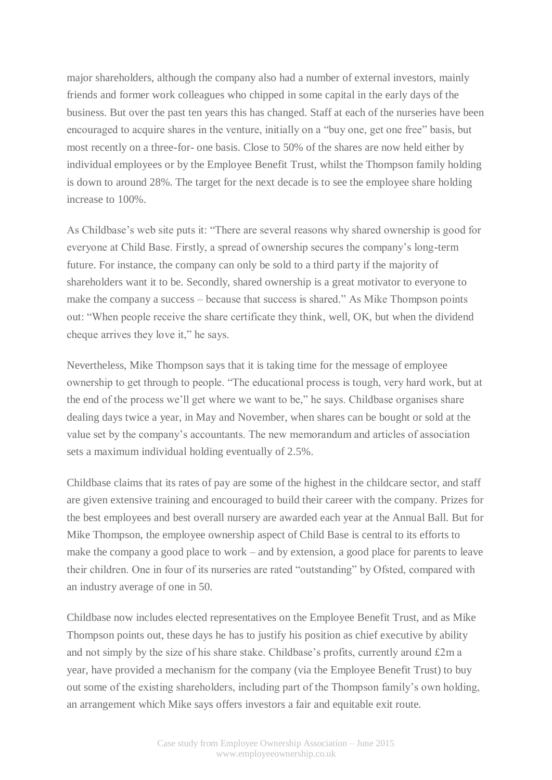major shareholders, although the company also had a number of external investors, mainly friends and former work colleagues who chipped in some capital in the early days of the business. But over the past ten years this has changed. Staff at each of the nurseries have been encouraged to acquire shares in the venture, initially on a "buy one, get one free" basis, but most recently on a three-for- one basis. Close to 50% of the shares are now held either by individual employees or by the Employee Benefit Trust, whilst the Thompson family holding is down to around 28%. The target for the next decade is to see the employee share holding increase to 100%.

As Childbase's web site puts it: "There are several reasons why shared ownership is good for everyone at Child Base. Firstly, a spread of ownership secures the company's long-term future. For instance, the company can only be sold to a third party if the majority of shareholders want it to be. Secondly, shared ownership is a great motivator to everyone to make the company a success – because that success is shared." As Mike Thompson points out: "When people receive the share certificate they think, well, OK, but when the dividend cheque arrives they love it," he says.

Nevertheless, Mike Thompson says that it is taking time for the message of employee ownership to get through to people. "The educational process is tough, very hard work, but at the end of the process we'll get where we want to be," he says. Childbase organises share dealing days twice a year, in May and November, when shares can be bought or sold at the value set by the company's accountants. The new memorandum and articles of association sets a maximum individual holding eventually of 2.5%.

Childbase claims that its rates of pay are some of the highest in the childcare sector, and staff are given extensive training and encouraged to build their career with the company. Prizes for the best employees and best overall nursery are awarded each year at the Annual Ball. But for Mike Thompson, the employee ownership aspect of Child Base is central to its efforts to make the company a good place to work – and by extension, a good place for parents to leave their children. One in four of its nurseries are rated "outstanding" by Ofsted, compared with an industry average of one in 50.

Childbase now includes elected representatives on the Employee Benefit Trust, and as Mike Thompson points out, these days he has to justify his position as chief executive by ability and not simply by the size of his share stake. Childbase's profits, currently around £2m a year, have provided a mechanism for the company (via the Employee Benefit Trust) to buy out some of the existing shareholders, including part of the Thompson family's own holding, an arrangement which Mike says offers investors a fair and equitable exit route.